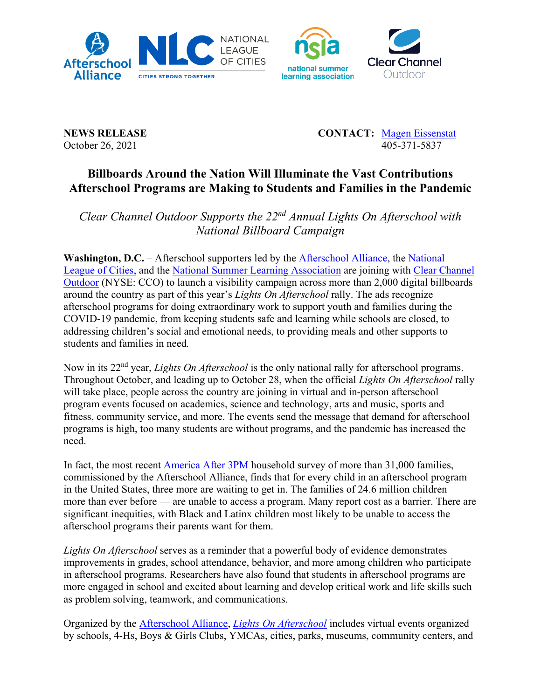



**NEWS RELEASE CONTACT:** [Magen Eissenstat](mailto:magen@prsolutionsdc.com) October 26, 2021 405-371-5837

## **Billboards Around the Nation Will Illuminate the Vast Contributions Afterschool Programs are Making to Students and Families in the Pandemic**

*Clear Channel Outdoor Supports the 22nd Annual Lights On Afterschool with National Billboard Campaign*

**Washington, D.C.** – Afterschool supporters led by the [Afterschool Alliance,](http://www.afterschoolalliance.org/) the [National](http://www.nlc.org/)  [League of Cities,](http://www.nlc.org/) and the [National Summer Learning Association](http://www.summerlearning.org/) are joining with [Clear Channel](http://www.clearchanneloutdoor.com/)  [Outdoor](http://www.clearchanneloutdoor.com/) (NYSE: CCO) to launch a visibility campaign across more than 2,000 digital billboards around the country as part of this year's *Lights On Afterschool* rally. The ads recognize afterschool programs for doing extraordinary work to support youth and families during the COVID-19 pandemic, from keeping students safe and learning while schools are closed, to addressing children's social and emotional needs, to providing meals and other supports to students and families in need*.*

Now in its 22nd year, *Lights On Afterschool* is the only national rally for afterschool programs. Throughout October, and leading up to October 28, when the official *Lights On Afterschool* rally will take place, people across the country are joining in virtual and in-person afterschool program events focused on academics, science and technology, arts and music, sports and fitness, community service, and more. The events send the message that demand for afterschool programs is high, too many students are without programs, and the pandemic has increased the need.

In fact, the most recent [America After 3PM](http://www.afterschoolalliance.org/AA3PM/) household survey of more than 31,000 families, commissioned by the Afterschool Alliance, finds that for every child in an afterschool program in the United States, three more are waiting to get in. The families of 24.6 million children more than ever before — are unable to access a program. Many report cost as a barrier. There are significant inequities, with Black and Latinx children most likely to be unable to access the afterschool programs their parents want for them.

*Lights On Afterschool* serves as a reminder that a powerful body of evidence demonstrates improvements in grades, school attendance, behavior, and more among children who participate in afterschool programs. Researchers have also found that students in afterschool programs are more engaged in school and excited about learning and develop critical work and life skills such as problem solving, teamwork, and communications.

Organized by the [Afterschool Alliance,](http://www.afterschoolalliance.org/) *[Lights On Afterschool](http://www.afterschoolalliance.org/loa.cfm)* includes virtual events organized by schools, 4-Hs, Boys & Girls Clubs, YMCAs, cities, parks, museums, community centers, and